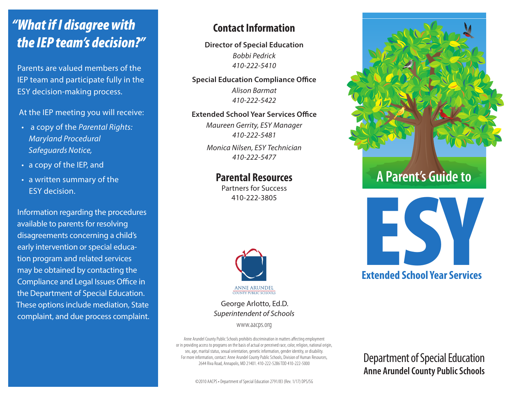# *"What if I disagree with the IEP team's decision?"*

Parents are valued members of the IEP team and participate fully in the ESY decision-making process.

At the IEP meeting you will receive:

- a copy of the *Parental Rights: Maryland Procedural SafeguardsNotice,*
- a copy of the IEP, and
- a written summary of the ESY decision.

Information regarding the procedures available to parents for resolving disagreements concerning a child's early intervention or special education program and related services may be obtained by contacting the Compliance and Legal Issues Office in the Department of Special Education. These options include mediation, State complaint, and due process complaint.

## **Contact Information**

**Director of Special Education** *Bobbi Pedrick 410-222-5410*

#### **Special Education Compliance Office**

*Alison Barmat 410-222-5422*

#### **Extended School Year Services Office**

*Maureen Gerrity, ESY Manager 410-222-5481*

*Monica Nilsen, ESY Technician 410-222-5477*

### **Parental Resources**

Partners for Success 410-222-3805



George Arlotto, Ed.D. *Superintendent of Schools*

www.aacps.org

Anne Arundel County Public Schools prohibits discrimination in matters affecting employment or in providing access to programs on the basis of actual or perceived race, color, religion, national origin, sex, age, marital status, sexual orientation, genetic information, gender identity, or disability. For more information, contact: Anne Arundel County Public Schools, Division of Human Resources, 2644 Riva Road, Annapolis, MD 21401. 410-222-5286 TDD 410-222-5000



# **A Parent's Guide to**



## **Extended School Year Services**

Department of Special Education **Anne Arundel County Public Schools**